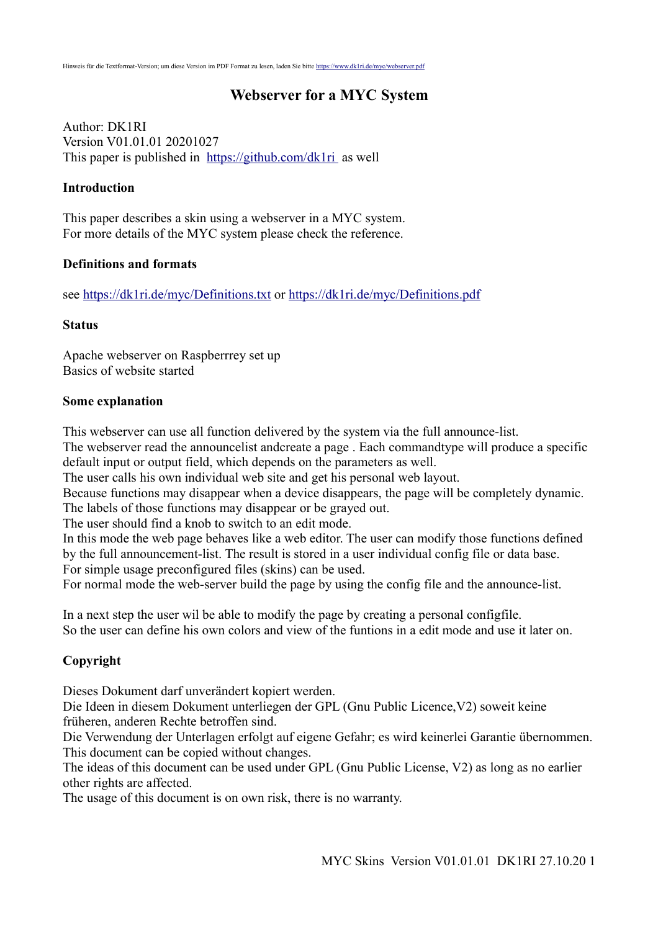# **Webserver for a MYC System**

Author: DK1RI Version V01.01.01 20201027 This paper is published in <https://github.com/dk1ri>as well

### **Introduction**

This paper describes a skin using a webserver in a MYC system. For more details of the MYC system please check the reference.

### **Definitions and formats**

see<https://dk1ri.de/myc/Definitions.txt>or<https://dk1ri.de/myc/Definitions.pdf>

#### **Status**

Apache webserver on Raspberrrey set up Basics of website started

#### **Some explanation**

This webserver can use all function delivered by the system via the full announce-list.

The webserver read the announcelist andcreate a page . Each commandtype will produce a specific default input or output field, which depends on the parameters as well.

The user calls his own individual web site and get his personal web layout.

Because functions may disappear when a device disappears, the page will be completely dynamic. The labels of those functions may disappear or be grayed out.

The user should find a knob to switch to an edit mode.

In this mode the web page behaves like a web editor. The user can modify those functions defined by the full announcement-list. The result is stored in a user individual config file or data base.

For simple usage preconfigured files (skins) can be used.

For normal mode the web-server build the page by using the config file and the announce-list.

In a next step the user wil be able to modify the page by creating a personal configfile. So the user can define his own colors and view of the funtions in a edit mode and use it later on.

## **Copyright**

Dieses Dokument darf unverändert kopiert werden.

Die Ideen in diesem Dokument unterliegen der GPL (Gnu Public Licence,V2) soweit keine früheren, anderen Rechte betroffen sind.

Die Verwendung der Unterlagen erfolgt auf eigene Gefahr; es wird keinerlei Garantie übernommen. This document can be copied without changes.

The ideas of this document can be used under GPL (Gnu Public License, V2) as long as no earlier other rights are affected.

The usage of this document is on own risk, there is no warranty.